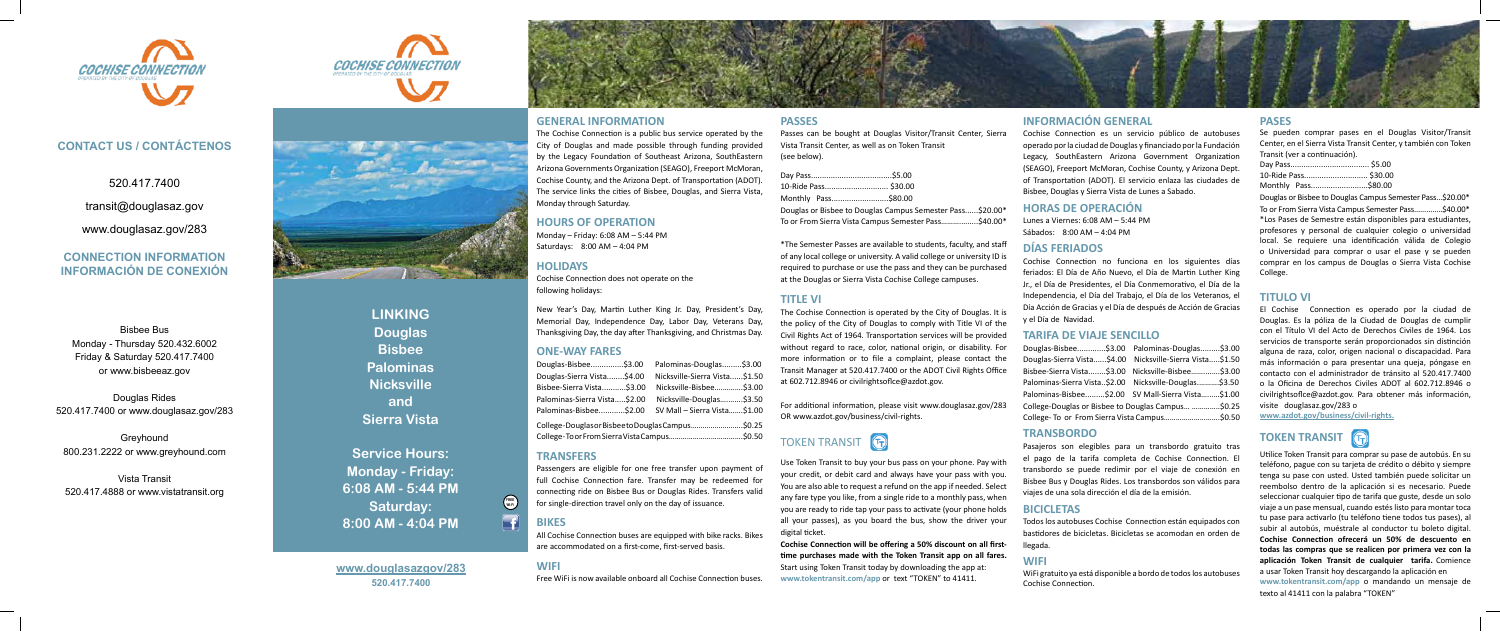# **www.douglasazgov/283 520.417.7400**



Bisbee Bus Monday - Thursday 520.432.6002 Friday & Saturday 520.417.7400 or www.bisbeeaz.gov

Douglas Rides 520.417.7400 or www.douglasaz.gov/283

Greyhound 800.231.2222 or www.greyhound.com

Vista Transit 520.417.4888 or www.vistatransit.org

# **CONTACT US / CONTÁCTENOS**

520.417.7400

transit@douglasaz.gov

www.douglasaz.gov/283

# **CONNECTION INFORMATION INFORMACIÓN DE CONEXIÓN**







**LINKING Douglas Bisbee Palominas Nicksville and Sierra Vista**

**Service Hours: Monday - Friday: 6:08 AM - 5:44 PM Saturday: 8:00 AM - 4:04 PM**

# **GENERAL INFORMATION**

The Cochise Connection is a public bus service operated by the City of Douglas and made possible through funding provided by the Legacy Foundation of Southeast Arizona, SouthEastern Arizona Governments Organization (SEAGO), Freeport McMoran, Cochise County, and the Arizona Dept. of Transportation (ADOT). The service links the cities of Bisbee, Douglas, and Sierra Vista, Monday through Saturday.

# **HOURS OF OPERATION** Monday – Friday: 6:08 AM – 5:44 PM

Saturdays: 8:00 AM – 4:04 PM

# **HOLIDAYS**

Cochise Connection does not operate on the

following holidays:

(see below). Day Pass... 10-Ride Pass.... Monthly Pass....

New Year's Day, Martin Luther King Jr. Day, President's Day, Memorial Day, Independence Day, Labor Day, Veterans Day, Thanksgiving Day, the day after Thanksgiving, and Christmas Day.

## **ONE-WAY FARES**

Douglas-Bisbee...............\$3.00 Palominas-Douglas.........\$3.00 Douglas-Sierra Vista........\$4.00 Nicksville-Sierra Vista......\$1.50 Bisbee-Sierra Vista...........\$3.00 Nicksville-Bisbee….……….\$3.00 Palominas-Sierra Vista.....\$2.00 Nicksville-Douglas….…....\$3.50 Palominas-Bisbee............\$2.00 SV Mall – Sierra Vista…….\$1.00 College- Douglas or Bisbee to Douglas Campus……………………..\$0.25 College- To or From Sierra Vista Campus……………………………….\$0.50

# **TOKEN TRANSIT [F**

# **TRANSFERS**

Passengers are eligible for one free transfer upon payment of full Cochise Connection fare. Transfer may be redeemed for connecting ride on Bisbee Bus or Douglas Rides. Transfers valid for single-direction travel only on the day of issuance.

# **BIKES**

All Cochise Connection buses are equipped with bike racks. Bikes are accommodated on a first-come, first-served basis.

# **WIFI**

Free WiFi is now available onboard all Cochise Connection buses.

**PASSES**

Passes can be bought at Douglas Visitor/Transit Center, Sierra Vista Transit Center, as well as on Token Transit

| 10-Ride Pass \$30.00 |                                                           |
|----------------------|-----------------------------------------------------------|
| Monthly Pass\$80.00  |                                                           |
|                      | Douglas or Bisbee to Douglas Campus Semester Pass\$20.00* |

To or From Sierra Vista Campus Semester Pass……….….....\$40.00\*

\*The Semester Passes are available to students, faculty, and staff of any local college or university. A valid college or university ID is required to purchase or use the pass and they can be purchased at the Douglas or Sierra Vista Cochise College campuses.

**TITLE VI**

The Cochise Connection is operated by the City of Douglas. It is the policy of the City of Douglas to comply with Title VI of the Civil Rights Act of 1964. Transportation services will be provided without regard to race, color, national origin, or disability. For more information or to file a complaint, please contact the Transit Manager at 520.417.7400 or the ADOT Civil Rights Office at 602.712.8946 or civilrightsoflce@azdot.gov.

For additional information, please visit www.douglasaz.gov/283 OR www.azdot.gov/business/civil-rights.

Use Token Transit to buy your bus pass on your phone. Pay with your credit, or debit card and always have your pass with you. You are also able to request a refund on the app if needed. Select any fare type you like, from a single ride to a monthly pass, when you are ready to ride tap your pass to activate (your phone holds all your passes), as you board the bus, show the driver your digital ticket.

**Cochise Connection will be offering a 50% discount on all firsttime purchases made with the Token Transit app on all fares.** Start using Token Transit today by downloading the app at: **www.tokentransit.com/app** or text "TOKEN" to 41411.

# **INFORMACIÓN GENERAL**

Cochise Connection es un servicio público de autobuses operado por la ciudad de Douglas y financiado por la Fundación Legacy, SouthEastern Arizona Government Organization (SEAGO), Freeport McMoran, Cochise County, y Arizona Dept. of Transportation (ADOT). El servicio enlaza las ciudades de Bisbee, Douglas y Sierra Vista de Lunes a Sabado.

### **HORAS DE OPERACIÓN**

Lunes a Viernes: 6:08 AM – 5:44 PM Sábados: 8:00 AM – 4:04 PM

# **DÍAS FERIADOS**

Cochise Connection no funciona en los siguientes días feriados: El Día de Año Nuevo, el Día de Martin Luther King Jr., el Día de Presidentes, el Día Conmemorativo, el Día de la Independencia, el Día del Trabajo, el Día de los Veteranos, el Día Acción de Gracias y el Día de después de Acción de Gracias y el Día de Navidad.

## **TARIFA DE VIAJE SENCILLO**

|                                                    | Douglas-Bisbee\$3.00 Palominas-Douglas\$3.00             |  |  |  |
|----------------------------------------------------|----------------------------------------------------------|--|--|--|
|                                                    | Douglas-Sierra Vista\$4.00 Nicksville-Sierra Vista\$1.50 |  |  |  |
|                                                    | Bisbee-Sierra Vista\$3.00 Nicksville-Bisbee\$3.00        |  |  |  |
|                                                    | Palominas-Sierra Vista\$2.00 Nicksville-Douglas\$3.50    |  |  |  |
|                                                    | Palominas-Bisbee\$2.00 SV Mall-Sierra Vista\$1.00        |  |  |  |
| College-Douglas or Bisbee to Douglas Campus \$0.25 |                                                          |  |  |  |
| College- To or From Sierra Vista Campus\$0.50      |                                                          |  |  |  |

### **TRANSBORDO**

Pasajeros son elegibles para un transbordo gratuito tras el pago de la tarifa completa de Cochise Connection. El transbordo se puede redimir por el viaje de conexión en Bisbee Bus y Douglas Rides. Los transbordos son válidos para viajes de una sola dirección el día de la emisión.

### **BICICLETAS**

Todos los autobuses Cochise Connection están equipados con bastidores de bicicletas. Bicicletas se acomodan en orden de llegada.

# **WIFI**

WiFi gratuito ya está disponible a bordo de todos los autobuses Cochise Connection.

# **PASES**

Se pueden comprar pases en el Douglas Visitor/Transit Center, en el Sierra Vista Transit Center, y también con Token Transit (ver a continuación).

|  | 10-Ride Pass \$30.00 |
|--|----------------------|
|  | Monthly Pass\$80.00  |

Douglas or Bisbee to Douglas Campus Semester Pass...\$20.00\* To or From Sierra Vista Campus Semester Pass..............\$40.00\* \*Los Pases de Semestre están disponibles para estudiantes, profesores y personal de cualquier colegio o universidad local. Se requiere una identificación válida de Colegio o Universidad para comprar o usar el pase y se pueden comprar en los campus de Douglas o Sierra Vista Cochise College.

### **TITULO VI**

El Cochise Connection es operado por la ciudad de Douglas. Es la póliza de la Ciudad de Douglas de cumplir con el Título VI del Acto de Derechos Civiles de 1964. Los servicios de transporte serán proporcionados sin distinción alguna de raza, color, origen nacional o discapacidad. Para más información o para presentar una queja, póngase en contacto con el administrador de tránsito al 520.417.7400 o la Oficina de Derechos Civiles ADOT al 602.712.8946 o civilrightsoflce@azdot.gov. Para obtener más información, visite douglasaz.gov/283 o

**www.azdot.gov/business/civil-rights.**

# **TOKEN TRANSIT** [6



Utilice Token Transit para comprar su pase de autobús. En su teléfono, pague con su tarjeta de crédito o débito y siempre tenga su pase con usted. Usted también puede solicitar un reembolso dentro de la aplicación si es necesario. Puede seleccionar cualquier tipo de tarifa que guste, desde un solo viaje a un pase mensual, cuando estés listo para montar toca tu pase para activarlo (tu teléfono tiene todos tus pases), al subir al autobús, muéstrale al conductor tu boleto digital. **Cochise Connection ofrecerá un 50% de descuento en todas las compras que se realicen por primera vez con la aplicación Token Transit de cualquier tarifa.** Comience a usar Token Transit hoy descargando la aplicación en **www.tokentransit.com/app** o mandando un mensaje de texto al 41411 con la palabra "TOKEN"

**FREE Wi-Fi**